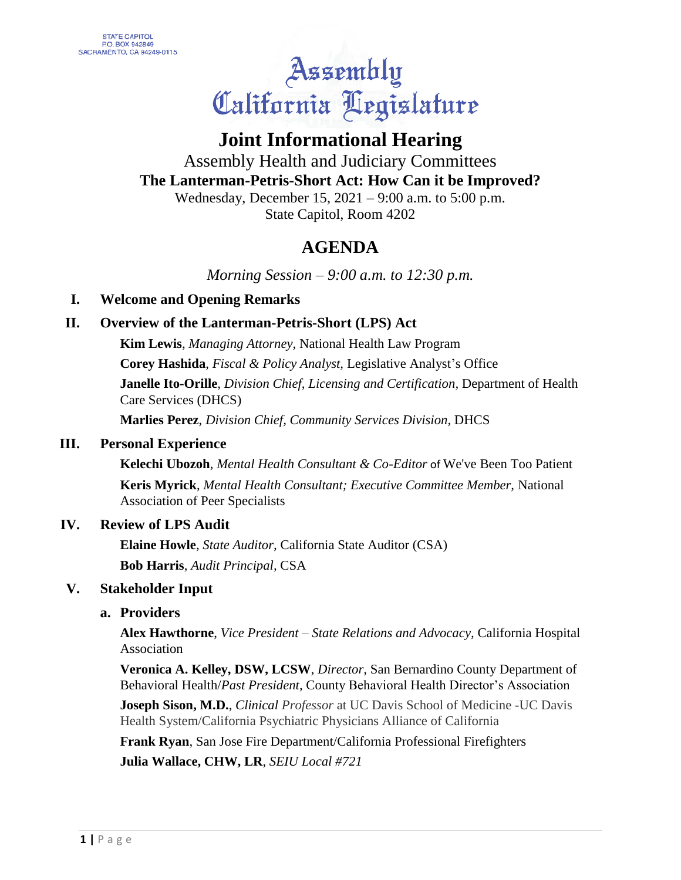# Assembly<br>California Aegislature

## **Joint Informational Hearing**

#### Assembly Health and Judiciary Committees **The Lanterman-Petris-Short Act: How Can it be Improved?** Wednesday, December 15, 2021 – 9:00 a.m. to 5:00 p.m.

State Capitol, Room 4202

### **AGENDA**

*Morning Session – 9:00 a.m. to 12:30 p.m.*

#### **I. Welcome and Opening Remarks**

#### **II. Overview of the Lanterman-Petris-Short (LPS) Act**

**Kim Lewis**, *Managing Attorney,* National Health Law Program **Corey Hashida**, *Fiscal & Policy Analyst,* Legislative Analyst's Office **Janelle Ito-Orille**, *Division Chief, Licensing and Certification,* Department of Health Care Services (DHCS)

**Marlies Perez**, *Division Chief, Community Services Division,* DHCS

#### **III. Personal Experience**

**Kelechi Ubozoh**, *Mental Health Consultant & Co-Editor* of We've Been Too Patient

**Keris Myrick**, *Mental Health Consultant; Executive Committee Member,* National Association of Peer Specialists

#### **IV. Review of LPS Audit**

**Elaine Howle**, *State Auditor,* California State Auditor (CSA) **Bob Harris**, *Audit Principal,* CSA

#### **V. Stakeholder Input**

#### **a. Providers**

**Alex Hawthorne**, *Vice President – State Relations and Advocacy,* California Hospital Association

**Veronica A. Kelley, DSW, LCSW**, *Director,* San Bernardino County Department of Behavioral Health/*Past President,* County Behavioral Health Director's Association

**Joseph Sison, M.D.**, *Clinical Professor* at UC Davis School of Medicine -UC Davis Health System/California Psychiatric Physicians Alliance of California

**Frank Ryan**, San Jose Fire Department/California Professional Firefighters **Julia Wallace, CHW, LR**, *SEIU Local #721*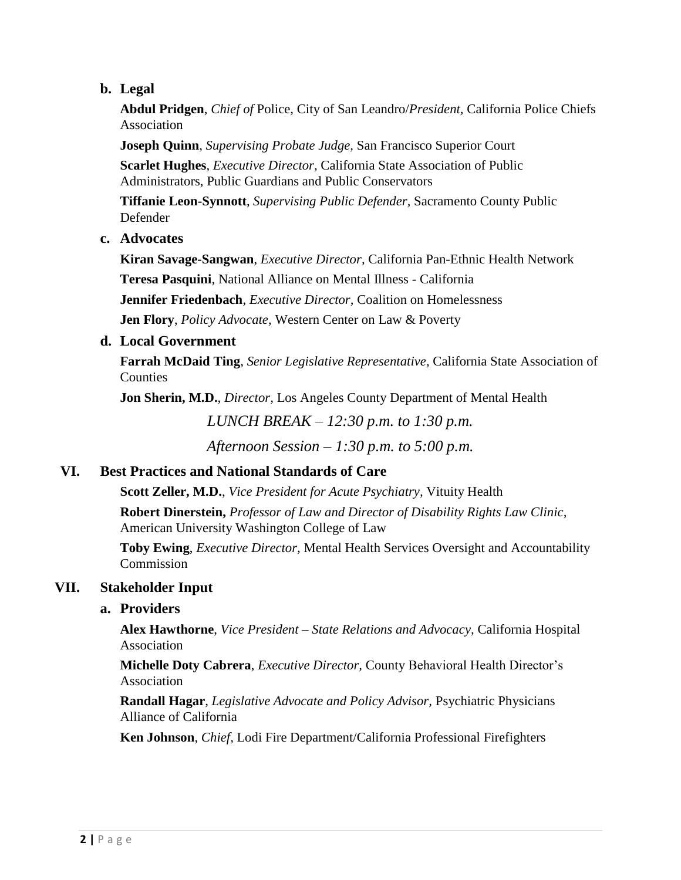#### **b. Legal**

**Abdul Pridgen**, *Chief of* Police, City of San Leandro/*President,* California Police Chiefs Association

**Joseph Quinn**, *Supervising Probate Judge,* San Francisco Superior Court **Scarlet Hughes**, *Executive Director,* California State Association of Public Administrators, Public Guardians and Public Conservators

**Tiffanie Leon-Synnott**, *Supervising Public Defender,* Sacramento County Public Defender

**c. Advocates**

**Kiran Savage-Sangwan**, *Executive Director,* California Pan-Ethnic Health Network **Teresa Pasquini**, National Alliance on Mental Illness - California **Jennifer Friedenbach**, *Executive Director,* Coalition on Homelessness

**Jen Flory**, *Policy Advocate,* Western Center on Law & Poverty

#### **d. Local Government**

**Farrah McDaid Ting**, *Senior Legislative Representative,* California State Association of Counties

**Jon Sherin, M.D.**, *Director,* Los Angeles County Department of Mental Health

*LUNCH BREAK – 12:30 p.m. to 1:30 p.m.*

*Afternoon Session – 1:30 p.m. to 5:00 p.m.*

#### **VI. Best Practices and National Standards of Care**

**Scott Zeller, M.D.**, *Vice President for Acute Psychiatry,* Vituity Health

**Robert Dinerstein,** *Professor of Law and Director of Disability Rights Law Clinic,*  American University Washington College of Law

**Toby Ewing**, *Executive Director,* Mental Health Services Oversight and Accountability Commission

#### **VII. Stakeholder Input**

#### **a. Providers**

**Alex Hawthorne**, *Vice President – State Relations and Advocacy,* California Hospital Association

**Michelle Doty Cabrera**, *Executive Director,* County Behavioral Health Director's Association

**Randall Hagar**, *Legislative Advocate and Policy Advisor,* Psychiatric Physicians Alliance of California

**Ken Johnson**, *Chief,* Lodi Fire Department/California Professional Firefighters